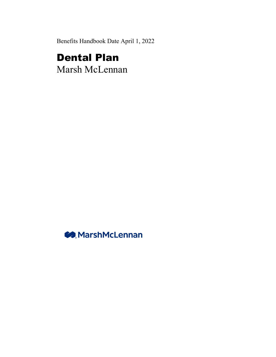Benefits Handbook Date April 1, 2022

# Dental Plan

Marsh McLennan

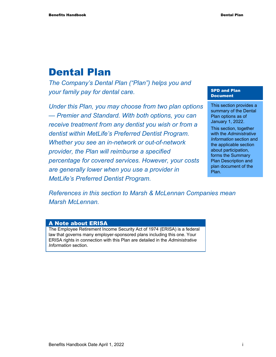# Dental Plan

*The Company's Dental Plan ("Plan") helps you and your family pay for dental care.* 

*Under this Plan, you may choose from two plan options — Premier and Standard. With both options, you can receive treatment from any dentist you wish or from a dentist within MetLife's Preferred Dentist Program. Whether you see an in-network or out-of-network provider, the Plan will reimburse a specified percentage for covered services. However, your costs are generally lower when you use a provider in MetLife's Preferred Dentist Program.* 

#### SPD and Plan Document

This section provides a summary of the Dental Plan options as of January 1, 2022.

This section, together with the *Administrative Information* section and the applicable section about participation, forms the Summary Plan Description and plan document of the Plan.

*References in this section to Marsh & McLennan Companies mean Marsh McLennan.* 

#### A Note about ERISA

The Employee Retirement Income Security Act of 1974 (ERISA) is a federal law that governs many employer-sponsored plans including this one. Your ERISA rights in connection with this Plan are detailed in the *Administrative Information* section.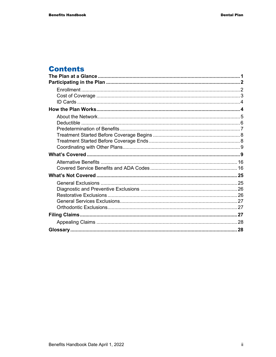# **Contents**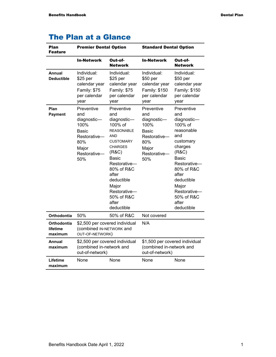|  |  |  | <b>The Plan at a Glance</b> |
|--|--|--|-----------------------------|
|--|--|--|-----------------------------|

| <b>Plan</b><br><b>Feature</b>      | <b>Premier Dental Option</b>                                                                             |                                                                                                                                                                                                                                                           | <b>Standard Dental Option</b>                                                                            |                                                                                                                                                                                                                               |
|------------------------------------|----------------------------------------------------------------------------------------------------------|-----------------------------------------------------------------------------------------------------------------------------------------------------------------------------------------------------------------------------------------------------------|----------------------------------------------------------------------------------------------------------|-------------------------------------------------------------------------------------------------------------------------------------------------------------------------------------------------------------------------------|
|                                    | <b>In-Network</b>                                                                                        | Out-of-<br><b>Network</b>                                                                                                                                                                                                                                 | <b>In-Network</b>                                                                                        | Out-of-<br><b>Network</b>                                                                                                                                                                                                     |
| <b>Annual</b><br><b>Deductible</b> | Individual:<br>\$25 per<br>calendar year<br>Family: \$75<br>per calendar<br>year                         | Individual:<br>\$25 per<br>calendar year<br>Family: \$75<br>per calendar<br>year                                                                                                                                                                          | Individual:<br>\$50 per<br>calendar year<br>Family: \$150<br>per calendar<br>year                        | Individual:<br>\$50 per<br>calendar year<br>Family: \$150<br>per calendar<br>year                                                                                                                                             |
| Plan<br><b>Payment</b>             | Preventive<br>and<br>diagnostic-<br>100%<br>Basic<br>Restorative-<br>80%<br>Major<br>Restorative-<br>50% | Preventive<br>and<br>diagnostic-<br>100% of<br><b>REASONABLE</b><br><b>AND</b><br><b>CUSTOMARY</b><br><b>CHARGES</b><br>(R&C)<br>Basic<br>Restorative-<br>80% of R&C<br>after<br>deductible<br>Major<br>Restorative-<br>50% of R&C<br>after<br>deductible | Preventive<br>and<br>diagnostic-<br>100%<br>Basic<br>Restorative-<br>80%<br>Major<br>Restorative-<br>50% | Preventive<br>and<br>diagnostic-<br>100% of<br>reasonable<br>and<br>customary<br>charges<br>(R&C)<br>Basic<br>Restorative-<br>80% of R&C<br>after<br>deductible<br>Major<br>Restorative-<br>50% of R&C<br>after<br>deductible |
| Orthodontia                        | 50%                                                                                                      | 50% of R&C                                                                                                                                                                                                                                                | Not covered                                                                                              |                                                                                                                                                                                                                               |
| Orthodontia<br>lifetime<br>maximum | \$2,500 per covered individual<br>(combined IN-NETWORK and<br>OUT-OF-NETWORK)                            |                                                                                                                                                                                                                                                           | N/A                                                                                                      |                                                                                                                                                                                                                               |
| Annual<br>maximum                  | \$2,500 per covered individual<br>(combined in-network and<br>out-of-network)                            |                                                                                                                                                                                                                                                           | \$1,500 per covered individual<br>(combined in-network and<br>out-of-network)                            |                                                                                                                                                                                                                               |
| Lifetime<br>maximum                | None                                                                                                     | None                                                                                                                                                                                                                                                      | None                                                                                                     | None                                                                                                                                                                                                                          |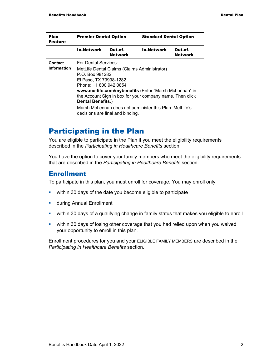| <b>Plan</b><br><b>Feature</b> |                                              | <b>Premier Dental Option</b>     |                                                           | <b>Standard Dental Option</b> |  |
|-------------------------------|----------------------------------------------|----------------------------------|-----------------------------------------------------------|-------------------------------|--|
|                               | <b>In-Network</b>                            | Out-of-<br><b>Network</b>        | <b>In-Network</b>                                         | Out-of-<br><b>Network</b>     |  |
| Contact                       | For Dental Services:                         |                                  |                                                           |                               |  |
| <b>Information</b>            | MetLife Dental Claims (Claims Administrator) |                                  |                                                           |                               |  |
|                               | P.O. Box 981282                              |                                  |                                                           |                               |  |
|                               | El Paso, TX 79998-1282                       |                                  |                                                           |                               |  |
|                               | Phone: +1 800 942 0854                       |                                  |                                                           |                               |  |
|                               |                                              |                                  | www.metlife.com/mybenefits (Enter "Marsh McLennan" in     |                               |  |
|                               |                                              |                                  | the Account Sign in box for your company name. Then click |                               |  |
|                               | Dental Benefits.)                            |                                  |                                                           |                               |  |
|                               |                                              | decisions are final and binding. | Marsh McLennan does not administer this Plan. MetLife's   |                               |  |

# Participating in the Plan

You are eligible to participate in the Plan if you meet the eligibility requirements described in the *Participating in Healthcare Benefits* section.

You have the option to cover your family members who meet the eligibility requirements that are described in the *Participating in Healthcare Benefits* section.

#### **Enrollment**

To participate in this plan, you must enroll for coverage. You may enroll only:

- **within 30 days of the date you become eligible to participate**
- **u.** during Annual Enrollment
- within 30 days of a qualifying change in family status that makes you eligible to enroll
- **•** within 30 days of losing other coverage that you had relied upon when you waived your opportunity to enroll in this plan.

Enrollment procedures for you and your ELIGIBLE FAMILY MEMBERS are described in the *Participating in Healthcare Benefits* section.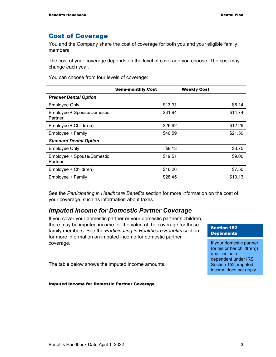## Cost of Coverage

You and the Company share the cost of coverage for both you and your eligible family members.

The cost of your coverage depends on the level of coverage you choose. The cost may change each year.

You can choose from four levels of coverage:

|                                       | <b>Semi-monthly Cost</b> | <b>Weekly Cost</b> |
|---------------------------------------|--------------------------|--------------------|
| <b>Premier Dental Option</b>          |                          |                    |
| <b>Employee Only</b>                  | \$13.31                  | \$6.14             |
| Employee + Spouse/Domestic<br>Partner | \$31.94                  | \$14.74            |
| Employee + Child(ren)                 | \$26.62                  | \$12.29            |
| Employee + Family                     | \$46.59                  | \$21.50            |
| <b>Standard Dental Option</b>         |                          |                    |
| <b>Employee Only</b>                  | \$8.13                   | \$3.75             |
| Employee + Spouse/Domestic<br>Partner | \$19.51                  | \$9.00             |
| Employee + Child(ren)                 | \$16.26                  | \$7.50             |
| Employee + Family                     | \$28.45                  | \$13.13            |

See the *Participating in Healthcare Benefits* section for more information on the cost of your coverage, such as information about taxes.

## *Imputed Income for Domestic Partner Coverage*

If you cover your domestic partner or your domestic partner's children, there may be imputed income for the value of the coverage for those family members. See the *Participating in Healthcare Benefits* section for more information on imputed income for domestic partner coverage.

Section 152 **Dependents** 

If your domestic partner (or his or her child(ren)) qualifies as a dependent under IRS Section 152, imputed income does not apply.

The table below shows the imputed income amounts.

Imputed Income for Domestic Partner Coverage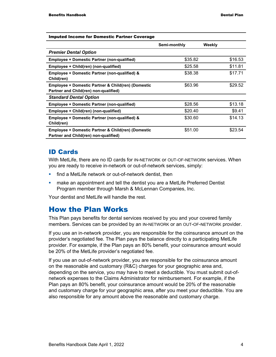| <b>Imputed Income for Domestic Partner Coverage</b>                                         |              |         |
|---------------------------------------------------------------------------------------------|--------------|---------|
|                                                                                             | Semi-monthly | Weekly  |
| <b>Premier Dental Option</b>                                                                |              |         |
| Employee + Domestic Partner (non-qualified)                                                 | \$35.82      | \$16.53 |
| Employee + Child(ren) (non-qualified)                                                       | \$25.58      | \$11.81 |
| Employee + Domestic Partner (non-qualified) &<br>Child(ren)                                 | \$38.38      | \$17.71 |
| Employee + Domestic Partner & Child(ren) (Domestic<br>Partner and Child(ren) non-qualified) | \$63.96      | \$29.52 |
| <b>Standard Dental Option</b>                                                               |              |         |
| Employee + Domestic Partner (non-qualified)                                                 | \$28.56      | \$13.18 |
| Employee + Child(ren) (non-qualified)                                                       | \$20.40      | \$9.41  |
| Employee + Domestic Partner (non-qualified) &<br>Child(ren)                                 | \$30.60      | \$14.13 |
| Employee + Domestic Partner & Child(ren) (Domestic<br>Partner and Child(ren) non-qualified) | \$51.00      | \$23.54 |

#### ID Cards

With MetLife, there are no ID cards for IN-NETWORK or OUT-OF-NETWORK services. When you are ready to receive in-network or out-of-network services, simply:

- **find a MetLife network or out-of-network dentist, then**
- **EXED A** make an appointment and tell the dentist you are a MetLife Preferred Dentist Program member through Marsh & McLennan Companies, Inc.

Your dentist and MetLife will handle the rest.

## How the Plan Works

This Plan pays benefits for dental services received by you and your covered family members. Services can be provided by an IN-NETWORK or an OUT-OF-NETWORK provider.

If you use an in-network provider, you are responsible for the coinsurance amount on the provider's negotiated fee. The Plan pays the balance directly to a participating MetLife provider. For example, if the Plan pays an 80% benefit, your coinsurance amount would be 20% of the MetLife provider's negotiated fee.

If you use an out-of-network provider, you are responsible for the coinsurance amount on the reasonable and customary (R&C) charges for your geographic area and, depending on the service, you may have to meet a deductible. You must submit out-ofnetwork expenses to the Claims Administrator for reimbursement. For example, if the Plan pays an 80% benefit, your coinsurance amount would be 20% of the reasonable and customary charge for your geographic area, after you meet your deductible. You are also responsible for any amount above the reasonable and customary charge.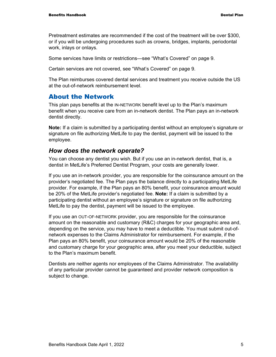Pretreatment estimates are recommended if the cost of the treatment will be over \$300, or if you will be undergoing procedures such as crowns, bridges, implants, periodontal work, inlays or onlays.

Some services have limits or restrictions—see "What's Covered" on page 9.

Certain services are not covered, see "What's Covered" on page 9.

The Plan reimburses covered dental services and treatment you receive outside the US at the out-of-network reimbursement level.

#### About the Network

This plan pays benefits at the IN-NETWORK benefit level up to the Plan's maximum benefit when you receive care from an in-network dentist. The Plan pays an in-network dentist directly.

**Note:** If a claim is submitted by a participating dentist without an employee's signature or signature on file authorizing MetLife to pay the dentist, payment will be issued to the employee.

#### *How does the network operate?*

You can choose any dentist you wish. But if you use an in-network dentist, that is, a dentist in MetLife's Preferred Dentist Program, your costs are generally lower.

If you use an in-network provider, you are responsible for the coinsurance amount on the provider's negotiated fee. The Plan pays the balance directly to a participating MetLife provider. For example, if the Plan pays an 80% benefit, your coinsurance amount would be 20% of the MetLife provider's negotiated fee. **Note:** If a claim is submitted by a participating dentist without an employee's signature or signature on file authorizing MetLife to pay the dentist, payment will be issued to the employee.

If you use an OUT-OF-NETWORK provider, you are responsible for the coinsurance amount on the reasonable and customary (R&C) charges for your geographic area and, depending on the service, you may have to meet a deductible. You must submit out-ofnetwork expenses to the Claims Administrator for reimbursement. For example, if the Plan pays an 80% benefit, your coinsurance amount would be 20% of the reasonable and customary charge for your geographic area, after you meet your deductible, subject to the Plan's maximum benefit.

Dentists are neither agents nor employees of the Claims Administrator. The availability of any particular provider cannot be guaranteed and provider network composition is subject to change.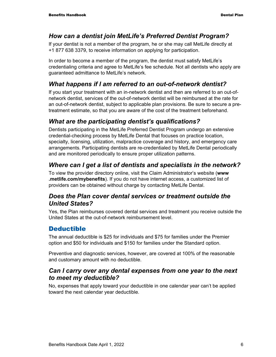## *How can a dentist join MetLife's Preferred Dentist Program?*

If your dentist is not a member of the program, he or she may call MetLife directly at +1 877 638 3379, to receive information on applying for participation.

In order to become a member of the program, the dentist must satisfy MetLife's credentialing criteria and agree to MetLife's fee schedule. Not all dentists who apply are guaranteed admittance to MetLife's network.

# *What happens if I am referred to an out-of-network dentist?*

If you start your treatment with an in-network dentist and then are referred to an out-ofnetwork dentist, services of the out-of-network dentist will be reimbursed at the rate for an out-of-network dentist, subject to applicable plan provisions. Be sure to secure a pretreatment estimate, so that you are aware of the cost of the treatment beforehand.

# *What are the participating dentist's qualifications?*

Dentists participating in the MetLife Preferred Dentist Program undergo an extensive credential-checking process by MetLife Dental that focuses on practice location, specialty, licensing, utilization, malpractice coverage and history, and emergency care arrangements. Participating dentists are re-credentialed by MetLife Dental periodically and are monitored periodically to ensure proper utilization patterns.

# *Where can I get a list of dentists and specialists in the network?*

To view the provider directory online, visit the Claim Administrator's website (**www .metlife.com/mybenefits**). If you do not have internet access, a customized list of providers can be obtained without charge by contacting MetLife Dental.

## *Does the Plan cover dental services or treatment outside the United States?*

Yes, the Plan reimburses covered dental services and treatment you receive outside the United States at the out-of-network reimbursement level.

# Deductible

The annual deductible is \$25 for individuals and \$75 for families under the Premier option and \$50 for individuals and \$150 for families under the Standard option.

Preventive and diagnostic services, however, are covered at 100% of the reasonable and customary amount with no deductible.

## *Can I carry over any dental expenses from one year to the next to meet my deductible?*

No, expenses that apply toward your deductible in one calendar year can't be applied toward the next calendar year deductible.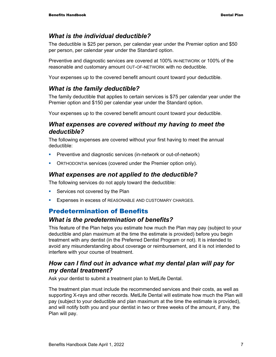#### *What is the individual deductible?*

The deductible is \$25 per person, per calendar year under the Premier option and \$50 per person, per calendar year under the Standard option.

Preventive and diagnostic services are covered at 100% IN-NETWORK or 100% of the reasonable and customary amount OUT-OF-NETWORK with no deductible.

Your expenses up to the covered benefit amount count toward your deductible.

#### *What is the family deductible?*

The family deductible that applies to certain services is \$75 per calendar year under the Premier option and \$150 per calendar year under the Standard option.

Your expenses up to the covered benefit amount count toward your deductible.

#### *What expenses are covered without my having to meet the deductible?*

The following expenses are covered without your first having to meet the annual deductible:

- **Preventive and diagnostic services (in-network or out-of-network)**
- **ORTHODONTIA services (covered under the Premier option only).**

#### *What expenses are not applied to the deductible?*

The following services do not apply toward the deductible:

- **Services not covered by the Plan**
- **EXPENSES IN EXCESS OF REASONABLE AND CUSTOMARY CHARGES.**

#### Predetermination of Benefits

#### *What is the predetermination of benefits?*

This feature of the Plan helps you estimate how much the Plan may pay (subject to your deductible and plan maximum at the time the estimate is provided) before you begin treatment with any dentist (in the Preferred Dentist Program or not). It is intended to avoid any misunderstanding about coverage or reimbursement, and it is not intended to interfere with your course of treatment.

#### *How can I find out in advance what my dental plan will pay for my dental treatment?*

Ask your dentist to submit a treatment plan to MetLife Dental.

The treatment plan must include the recommended services and their costs, as well as supporting X-rays and other records. MetLife Dental will estimate how much the Plan will pay (subject to your deductible and plan maximum at the time the estimate is provided), and will notify both you and your dentist in two or three weeks of the amount, if any, the Plan will pay.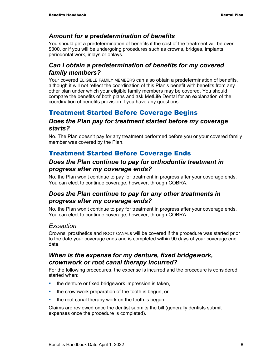## *Amount for a predetermination of benefits*

You should get a predetermination of benefits if the cost of the treatment will be over \$300, or if you will be undergoing procedures such as crowns, bridges, implants, periodontal work, inlays or onlays.

## *Can I obtain a predetermination of benefits for my covered family members?*

Your covered ELIGIBLE FAMILY MEMBERS can also obtain a predetermination of benefits, although it will not reflect the coordination of this Plan's benefit with benefits from any other plan under which your eligible family members may be covered. You should compare the benefits of both plans and ask MetLife Dental for an explanation of the coordination of benefits provision if you have any questions.

# Treatment Started Before Coverage Begins

#### *Does the Plan pay for treatment started before my coverage starts?*

No. The Plan doesn't pay for any treatment performed before you or your covered family member was covered by the Plan.

# Treatment Started Before Coverage Ends

## *Does the Plan continue to pay for orthodontia treatment in progress after my coverage ends?*

No, the Plan won't continue to pay for treatment in progress after your coverage ends. You can elect to continue coverage, however, through COBRA.

## *Does the Plan continue to pay for any other treatments in progress after my coverage ends?*

No, the Plan won't continue to pay for treatment in progress after your coverage ends. You can elect to continue coverage, however, through COBRA.

## *Exception*

Crowns, prosthetics and ROOT CANALs will be covered if the procedure was started prior to the date your coverage ends and is completed within 90 days of your coverage end date.

## *When is the expense for my denture, fixed bridgework, crownwork or root canal therapy incurred?*

For the following procedures, the expense is incurred and the procedure is considered started when:

- **the denture or fixed bridgework impression is taken,**
- **the crownwork preparation of the tooth is begun, or**
- $\blacksquare$  the root canal therapy work on the tooth is begun.

Claims are reviewed once the dentist submits the bill (generally dentists submit expenses once the procedure is completed).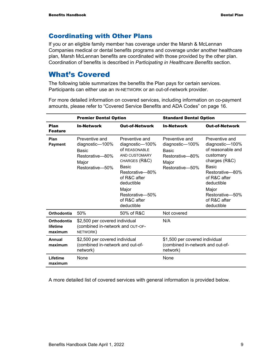# Coordinating with Other Plans

If you or an eligible family member has coverage under the Marsh & McLennan Companies medical or dental benefits programs and coverage under another healthcare plan, Marsh McLennan benefits are coordinated with those provided by the other plan. Coordination of benefits is described in *Participating in Healthcare Benefits* section.

# What's Covered

The following table summarizes the benefits the Plan pays for certain services. Participants can either use an IN-NETWORK or an out-of-network provider.

For more detailed information on covered services, including information on co-payment amounts, please refer to "Covered Service Benefits and ADA Codes" on page 16.

|                                    | <b>Premier Dental Option</b>                                                                     |                                                                                                                                                                                                                 | <b>Standard Dental Option</b>                                                             |                                                                                                                                                                                                          |
|------------------------------------|--------------------------------------------------------------------------------------------------|-----------------------------------------------------------------------------------------------------------------------------------------------------------------------------------------------------------------|-------------------------------------------------------------------------------------------|----------------------------------------------------------------------------------------------------------------------------------------------------------------------------------------------------------|
| Plan<br><b>Feature</b>             | <b>In-Network</b>                                                                                | <b>Out-of-Network</b>                                                                                                                                                                                           | <b>In-Network</b>                                                                         | <b>Out-of-Network</b>                                                                                                                                                                                    |
| Plan<br><b>Payment</b>             | Preventive and<br>diagnostic-100%<br><b>Basic</b><br>Restorative-80%<br>Major<br>Restorative-50% | Preventive and<br>diagnostic-100%<br>Of REASONABLE<br>AND CUSTOMARY<br>CHARGES (R&C)<br><b>Basic</b><br>Restorative-80%<br>of R&C after<br>deductible<br>Major<br>Restorative-50%<br>of R&C after<br>deductible | Preventive and<br>diagnostic-100%<br>Basic<br>Restorative-80%<br>Major<br>Restorative-50% | Preventive and<br>diagnostic-100%<br>of reasonable and<br>customary<br>charges (R&C)<br>Basic<br>Restorative-80%<br>of R&C after<br>deductible<br>Major<br>Restorative-50%<br>of R&C after<br>deductible |
| Orthodontia                        | 50%                                                                                              | 50% of R&C                                                                                                                                                                                                      | Not covered                                                                               |                                                                                                                                                                                                          |
| Orthodontia<br>lifetime<br>maximum | \$2,500 per covered individual<br>(combined in-network and OUT-OF-<br>NETWORK)                   |                                                                                                                                                                                                                 | N/A                                                                                       |                                                                                                                                                                                                          |
| Annual<br>maximum                  | \$2,500 per covered individual<br>(combined in-network and out-of-<br>network)                   |                                                                                                                                                                                                                 | \$1,500 per covered individual<br>(combined in-network and out-of-<br>network)            |                                                                                                                                                                                                          |
| Lifetime<br>maximum                | None                                                                                             |                                                                                                                                                                                                                 | None                                                                                      |                                                                                                                                                                                                          |

A more detailed list of covered services with general information is provided below.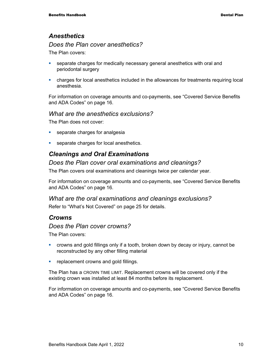## *Anesthetics*

#### *Does the Plan cover anesthetics?*

The Plan covers:

- **separate charges for medically necessary general anesthetics with oral and** periodontal surgery
- charges for local anesthetics included in the allowances for treatments requiring local anesthesia.

For information on coverage amounts and co-payments, see "Covered Service Benefits and ADA Codes" on page 16.

#### *What are the anesthetics exclusions?*

The Plan does not cover:

- **separate charges for analgesia**
- **separate charges for local anesthetics.**

## *Cleanings and Oral Examinations*

#### *Does the Plan cover oral examinations and cleanings?*

The Plan covers oral examinations and cleanings twice per calendar year.

For information on coverage amounts and co-payments, see "Covered Service Benefits and ADA Codes" on page 16.

# *What are the oral examinations and cleanings exclusions?*

Refer to "What's Not Covered" on page 25 for details.

#### *Crowns*

#### *Does the Plan cover crowns?*

The Plan covers:

- crowns and gold fillings only if a tooth, broken down by decay or injury, cannot be reconstructed by any other filling material
- **•** replacement crowns and gold fillings.

The Plan has a CROWN TIME LIMIT. Replacement crowns will be covered only if the existing crown was installed at least 84 months before its replacement.

For information on coverage amounts and co-payments, see "Covered Service Benefits and ADA Codes" on page 16.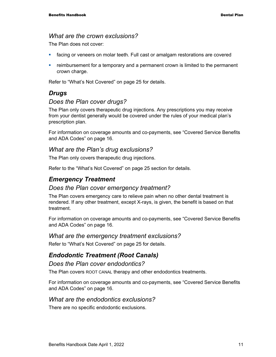#### *What are the crown exclusions?*

The Plan does not cover:

- facing or veneers on molar teeth. Full cast or amalgam restorations are covered
- reimbursement for a temporary and a permanent crown is limited to the permanent crown charge.

Refer to "What's Not Covered" on page 25 for details.

#### *Drugs*

#### *Does the Plan cover drugs?*

The Plan only covers therapeutic drug injections. Any prescriptions you may receive from your dentist generally would be covered under the rules of your medical plan's prescription plan.

For information on coverage amounts and co-payments, see "Covered Service Benefits and ADA Codes" on page 16.

#### *What are the Plan's drug exclusions?*

The Plan only covers therapeutic drug injections.

Refer to the "What's Not Covered" on page 25 section for details.

#### *Emergency Treatment*

#### *Does the Plan cover emergency treatment?*

The Plan covers emergency care to relieve pain when no other dental treatment is rendered. If any other treatment, except X-rays, is given, the benefit is based on that treatment.

For information on coverage amounts and co-payments, see "Covered Service Benefits and ADA Codes" on page 16.

#### *What are the emergency treatment exclusions?*

Refer to "What's Not Covered" on page 25 for details.

#### *Endodontic Treatment (Root Canals)*

#### *Does the Plan cover endodontics?*

The Plan covers ROOT CANAL therapy and other endodontics treatments.

For information on coverage amounts and co-payments, see "Covered Service Benefits and ADA Codes" on page 16.

#### *What are the endodontics exclusions?*

There are no specific endodontic exclusions.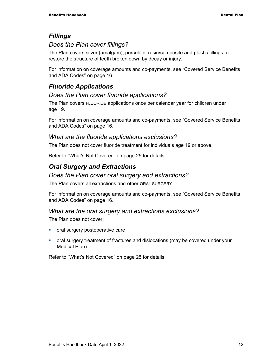#### *Fillings*

## *Does the Plan cover fillings?*

The Plan covers silver (amalgam), porcelain, resin/composite and plastic fillings to restore the structure of teeth broken down by decay or injury.

For information on coverage amounts and co-payments, see "Covered Service Benefits and ADA Codes" on page 16.

# *Fluoride Applications*

#### *Does the Plan cover fluoride applications?*

The Plan covers FLUORIDE applications once per calendar year for children under age 19.

For information on coverage amounts and co-payments, see "Covered Service Benefits and ADA Codes" on page 16.

#### *What are the fluoride applications exclusions?*

The Plan does not cover fluoride treatment for individuals age 19 or above.

Refer to "What's Not Covered" on page 25 for details.

# *Oral Surgery and Extractions*

#### *Does the Plan cover oral surgery and extractions?*

The Plan covers all extractions and other ORAL SURGERY.

For information on coverage amounts and co-payments, see "Covered Service Benefits and ADA Codes" on page 16.

#### *What are the oral surgery and extractions exclusions?*

The Plan does not cover:

- **•** oral surgery postoperative care
- oral surgery treatment of fractures and dislocations (may be covered under your Medical Plan).

Refer to "What's Not Covered" on page 25 for details.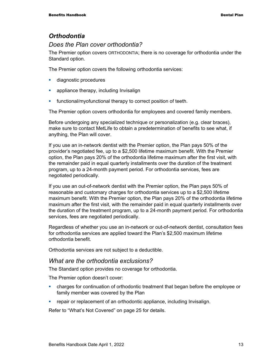## *Orthodontia*

#### *Does the Plan cover orthodontia?*

The Premier option covers ORTHODONTIA; there is no coverage for orthodontia under the Standard option.

The Premier option covers the following orthodontia services:

- **diagnostic procedures**
- **•** appliance therapy, including Invisalign
- **Functional/myofunctional therapy to correct position of teeth.**

The Premier option covers orthodontia for employees and covered family members.

Before undergoing any specialized technique or personalization (e.g. clear braces), make sure to contact MetLife to obtain a predetermination of benefits to see what, if anything, the Plan will cover.

If you use an in-network dentist with the Premier option, the Plan pays 50% of the provider's negotiated fee, up to a \$2,500 lifetime maximum benefit. With the Premier option, the Plan pays 20% of the orthodontia lifetime maximum after the first visit, with the remainder paid in equal quarterly installments over the duration of the treatment program, up to a 24-month payment period. For orthodontia services, fees are negotiated periodically.

If you use an out-of-network dentist with the Premier option, the Plan pays 50% of reasonable and customary charges for orthodontia services up to a \$2,500 lifetime maximum benefit. With the Premier option, the Plan pays 20% of the orthodontia lifetime maximum after the first visit, with the remainder paid in equal quarterly installments over the duration of the treatment program, up to a 24-month payment period. For orthodontia services, fees are negotiated periodically.

Regardless of whether you use an in-network or out-of-network dentist, consultation fees for orthodontia services are applied toward the Plan's \$2,500 maximum lifetime orthodontia benefit.

Orthodontia services are not subject to a deductible.

#### *What are the orthodontia exclusions?*

The Standard option provides no coverage for orthodontia.

The Premier option doesn't cover:

- charges for continuation of orthodontic treatment that began before the employee or family member was covered by the Plan
- **•** repair or replacement of an orthodontic appliance, including Invisalign.

Refer to "What's Not Covered" on page 25 for details.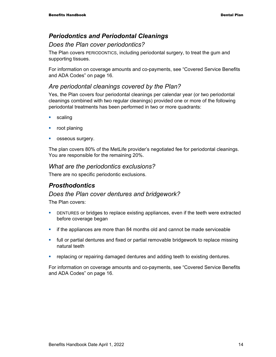# *Periodontics and Periodontal Cleanings*

### *Does the Plan cover periodontics?*

The Plan covers PERIODONTICS, including periodontal surgery, to treat the gum and supporting tissues.

For information on coverage amounts and co-payments, see "Covered Service Benefits and ADA Codes" on page 16.

## *Are periodontal cleanings covered by the Plan?*

Yes, the Plan covers four periodontal cleanings per calendar year (or two periodontal cleanings combined with two regular cleanings) provided one or more of the following periodontal treatments has been performed in two or more quadrants:

- **scaling**
- **r** root planing
- **osseous surgery.**

The plan covers 80% of the MetLife provider's negotiated fee for periodontal cleanings. You are responsible for the remaining 20%.

#### *What are the periodontics exclusions?*

There are no specific periodontic exclusions.

## *Prosthodontics*

#### *Does the Plan cover dentures and bridgework?*

The Plan covers:

- **EXECT** DENTURES or bridges to replace existing appliances, even if the teeth were extracted before coverage began
- **if the appliances are more than 84 months old and cannot be made serviceable**
- **Fill or partial dentures and fixed or partial removable bridgework to replace missing** natural teeth
- replacing or repairing damaged dentures and adding teeth to existing dentures.

For information on coverage amounts and co-payments, see "Covered Service Benefits and ADA Codes" on page 16.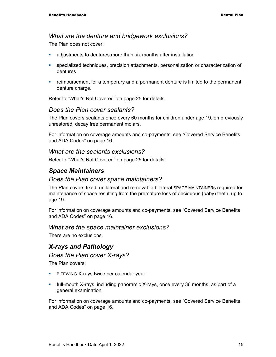#### *What are the denture and bridgework exclusions?*

The Plan does not cover:

- adjustments to dentures more than six months after installation
- specialized techniques, precision attachments, personalization or characterization of dentures
- reimbursement for a temporary and a permanent denture is limited to the permanent denture charge.

Refer to "What's Not Covered" on page 25 for details.

#### *Does the Plan cover sealants?*

The Plan covers sealants once every 60 months for children under age 19, on previously unrestored, decay free permanent molars.

For information on coverage amounts and co-payments, see "Covered Service Benefits and ADA Codes" on page 16.

#### *What are the sealants exclusions?*

Refer to "What's Not Covered" on page 25 for details.

#### *Space Maintainers*

#### *Does the Plan cover space maintainers?*

The Plan covers fixed, unilateral and removable bilateral SPACE MAINTAINERs required for maintenance of space resulting from the premature loss of deciduous (baby) teeth, up to age 19.

For information on coverage amounts and co-payments, see "Covered Service Benefits and ADA Codes" on page 16.

#### *What are the space maintainer exclusions?*

There are no exclusions.

#### *X-rays and Pathology*

#### *Does the Plan cover X-rays?*

The Plan covers:

- **BITEWING X-rays twice per calendar year**
- full-mouth X-rays, including panoramic X-rays, once every 36 months, as part of a general examination

For information on coverage amounts and co-payments, see "Covered Service Benefits and ADA Codes" on page 16.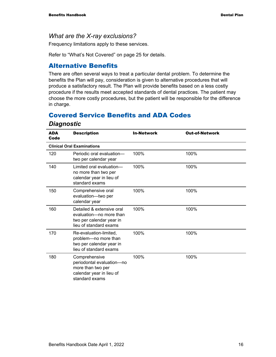#### *What are the X-ray exclusions?*

Frequency limitations apply to these services.

Refer to "What's Not Covered" on page 25 for details.

#### Alternative Benefits

There are often several ways to treat a particular dental problem. To determine the benefits the Plan will pay, consideration is given to alternative procedures that will produce a satisfactory result. The Plan will provide benefits based on a less costly procedure if the results meet accepted standards of dental practices. The patient may choose the more costly procedures, but the patient will be responsible for the difference in charge.

## Covered Service Benefits and ADA Codes

| <b>ADA</b><br>Code | <b>Description</b>                                                                                            | <b>In-Network</b> | <b>Out-of-Network</b> |
|--------------------|---------------------------------------------------------------------------------------------------------------|-------------------|-----------------------|
|                    | <b>Clinical Oral Examinations</b>                                                                             |                   |                       |
| 120                | Periodic oral evaluation-<br>two per calendar year                                                            | 100%              | 100%                  |
| 140                | Limited oral evaluation-<br>no more than two per<br>calendar year in lieu of<br>standard exams                | 100%              | 100%                  |
| 150                | Comprehensive oral<br>evaluation-two per<br>calendar year                                                     | 100%              | 100%                  |
| 160                | Detailed & extensive oral<br>evaluation-no more than<br>two per calendar year in<br>lieu of standard exams    | 100%              | 100%                  |
| 170                | Re-evaluation-limited,<br>problem-no more than<br>two per calendar year in<br>lieu of standard exams          | 100%              | 100%                  |
| 180                | Comprehensive<br>periodontal evaluation-no<br>more than two per<br>calendar year in lieu of<br>standard exams | 100%              | 100%                  |

#### *Diagnostic*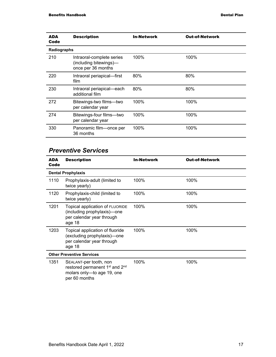| ADA<br>Code | <b>Description</b>                                                        | <b>In-Network</b> | <b>Out-of-Network</b> |
|-------------|---------------------------------------------------------------------------|-------------------|-----------------------|
| Radiographs |                                                                           |                   |                       |
| 210         | Intraoral-complete series<br>(including bitewings)-<br>once per 36 months | 100%              | 100%                  |
| 220         | Intraoral periapical-first<br>film                                        | 80%               | 80%                   |
| 230         | Intraoral periapical-each<br>additional film                              | 80%               | 80%                   |
| 272         | Bitewings-two films--two<br>per calendar year                             | 100%              | 100%                  |
| 274         | Bitewings-four films---two<br>per calendar year                           | 100%              | 100%                  |
| 330         | Panoramic film-once per<br>36 months                                      | 100%              | 100%                  |

# *Preventive Services*

| ADA<br>Code | <b>Description</b>                                                                                                              | <b>In-Network</b> | <b>Out-of-Network</b> |
|-------------|---------------------------------------------------------------------------------------------------------------------------------|-------------------|-----------------------|
|             | <b>Dental Prophylaxis</b>                                                                                                       |                   |                       |
| 1110        | Prophylaxis-adult (limited to<br>twice yearly)                                                                                  | 100%              | 100%                  |
| 1120        | Prophylaxis-child (limited to<br>twice yearly)                                                                                  | 100%              | 100%                  |
| 1201        | Topical application of FLUORIDE<br>(including prophylaxis)-one<br>per calendar year through<br>age 18                           | 100%              | 100%                  |
| 1203        | Topical application of fluoride<br>(excluding prophylaxis)-one<br>per calendar year through<br>age 18                           | 100%              | 100%                  |
|             | <b>Other Preventive Services</b>                                                                                                |                   |                       |
| 1351        | SEALANT-per tooth, non<br>restored permanent 1 <sup>st</sup> and 2 <sup>nd</sup><br>molars only-to age 19, one<br>per 60 months | 100%              | 100%                  |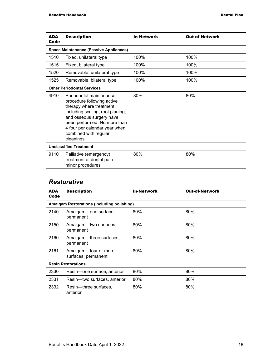| <b>ADA</b><br>Code | <b>Description</b>                                                                                                                                                                                                                                      | <b>In-Network</b> | <b>Out-of-Network</b> |
|--------------------|---------------------------------------------------------------------------------------------------------------------------------------------------------------------------------------------------------------------------------------------------------|-------------------|-----------------------|
|                    | <b>Space Maintenance (Passive Appliances)</b>                                                                                                                                                                                                           |                   |                       |
| 1510               | Fixed, unilateral type                                                                                                                                                                                                                                  | 100%              | 100%                  |
| 1515               | Fixed, bilateral type                                                                                                                                                                                                                                   | 100%              | 100%                  |
| 1520               | Removable, unilateral type                                                                                                                                                                                                                              | 100%              | 100%                  |
| 1525               | Removable, bilateral type                                                                                                                                                                                                                               | 100%              | 100%                  |
|                    | <b>Other Periodontal Services</b>                                                                                                                                                                                                                       |                   |                       |
| 4910               | Periodontal maintenance<br>procedure following active<br>therapy where treatment<br>including scaling, root planing,<br>and osseous surgery have<br>been performed. No more than<br>4 four per calendar year when<br>combined with regular<br>cleanings | 80%               | 80%                   |
|                    | <b>Unclassified Treatment</b>                                                                                                                                                                                                                           |                   |                       |
| 9110               | Palliative (emergency)<br>treatment of dental pain-<br>minor procedures                                                                                                                                                                                 | 80%               | 80%                   |

#### *Restorative*

| ADA<br>Code | <b>Description</b>                                | <b>In-Network</b> | <b>Out-of-Network</b> |
|-------------|---------------------------------------------------|-------------------|-----------------------|
|             | <b>Amalgam Restorations (including polishing)</b> |                   |                       |
| 2140        | Amalgam—one surface,<br>permanent                 | 80%               | 80%                   |
| 2150        | Amalgam-two surfaces,<br>permanent                | 80%               | 80%                   |
| 2160        | Amalgam-three surfaces,<br>permanent              | 80%               | 80%                   |
| 2161        | Amalgam-four or more<br>surfaces, permanent       | 80%               | 80%                   |
|             | <b>Resin Restorations</b>                         |                   |                       |
| 2330        | Resin-one surface, anterior                       | 80%               | 80%                   |
| 2331        | Resin--two surfaces, anterior                     | 80%               | 80%                   |
| 2332        | Resin---three surfaces,<br>anterior               | 80%               | 80%                   |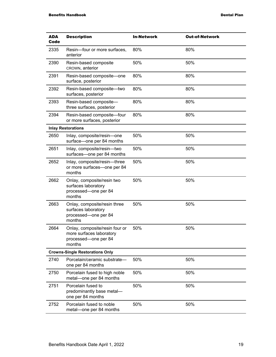| ADA<br>Code | <b>Description</b>                                                                           | <b>In-Network</b> | <b>Out-of-Network</b> |
|-------------|----------------------------------------------------------------------------------------------|-------------------|-----------------------|
| 2335        | Resin-four or more surfaces,<br>anterior                                                     | 80%               | 80%                   |
| 2390        | Resin-based composite<br>CROWN, anterior                                                     | 50%               | 50%                   |
| 2391        | Resin-based composite-one<br>surface, posterior                                              | 80%               | 80%                   |
| 2392        | Resin-based composite-two<br>surfaces, posterior                                             | 80%               | 80%                   |
| 2393        | Resin-based composite-<br>three surfaces, posterior                                          | 80%               | 80%                   |
| 2394        | Resin-based composite-four<br>or more surfaces, posterior                                    | 80%               | 80%                   |
|             | <b>Inlay Restorations</b>                                                                    |                   |                       |
| 2650        | Inlay, composite/resin-one<br>surface-one per 84 months                                      | 50%               | 50%                   |
| 2651        | Inlay, composite/resin-two<br>surfaces-one per 84 months                                     | 50%               | 50%                   |
| 2652        | Inlay, composite/resin-three<br>or more surfaces-one per 84<br>months                        | 50%               | 50%                   |
| 2662        | Onlay, composite/resin two<br>surfaces laboratory<br>processed-one per 84<br>months          | 50%               | 50%                   |
| 2663        | Onlay, composite/resin three<br>surfaces laboratory<br>processed-one per 84<br>months        | 50%               | 50%                   |
| 2664        | Onlay, composite/resin four or<br>more surfaces laboratory<br>processed-one per 84<br>months | 50%               | 50%                   |
|             | <b>Crowns-Single Restorations Only</b>                                                       |                   |                       |
| 2740        | Porcelain/ceramic substrate-<br>one per 84 months                                            | 50%               | 50%                   |
| 2750        | Porcelain fused to high noble<br>metal-one per 84 months                                     | 50%               | 50%                   |
| 2751        | Porcelain fused to<br>predominantly base metal-<br>one per 84 months                         | 50%               | 50%                   |
| 2752        | Porcelain fused to noble<br>metal-one per 84 months                                          | 50%               | 50%                   |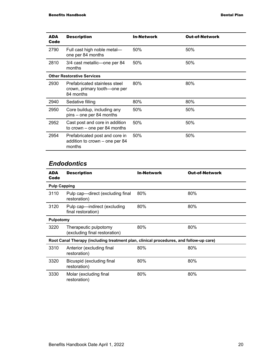| ADA<br>Code | <b>Description</b>                                                         | <b>In-Network</b> | <b>Out-of-Network</b> |
|-------------|----------------------------------------------------------------------------|-------------------|-----------------------|
| 2790        | Full cast high noble metal-<br>one per 84 months                           | 50%               | 50%                   |
| 2810        | 3/4 cast metallic—one per 84<br>months                                     | 50%               | 50%                   |
|             | <b>Other Restorative Services</b>                                          |                   |                       |
| 2930        | Prefabricated stainless steel<br>crown, primary tooth—one per<br>84 months | 80%               | 80%                   |
| 2940        | Sedative filling                                                           | 80%               | 80%                   |
| 2950        | Core buildup, including any<br>pins - one per 84 months                    | 50%               | 50%                   |
| 2952        | Cast post and core in addition<br>to crown $-$ one per 84 months           | 50%               | 50%                   |
| 2954        | Prefabricated post and core in<br>addition to crown – one per 84<br>months | 50%               | 50%                   |

# *Endodontics*

| <b>ADA</b><br>Code  | <b>Description</b>                                                                     | <b>In-Network</b> | <b>Out-of-Network</b> |
|---------------------|----------------------------------------------------------------------------------------|-------------------|-----------------------|
| <b>Pulp Capping</b> |                                                                                        |                   |                       |
| 3110                | Pulp cap-direct (excluding final<br>restoration)                                       | 80%               | 80%                   |
| 3120                | Pulp cap-indirect (excluding<br>final restoration)                                     | 80%               | 80%                   |
| <b>Pulpotomy</b>    |                                                                                        |                   |                       |
| 3220                | Therapeutic pulpotomy<br>(excluding final restoration)                                 | 80%               | 80%                   |
|                     | Root Canal Therapy (including treatment plan, clinical procedures, and follow-up care) |                   |                       |
| 3310                | Anterior (excluding final<br>restoration)                                              | 80%               | 80%                   |
| 3320                | Bicuspid (excluding final<br>restoration)                                              | 80%               | 80%                   |
| 3330                | Molar (excluding final<br>restoration)                                                 | 80%               | 80%                   |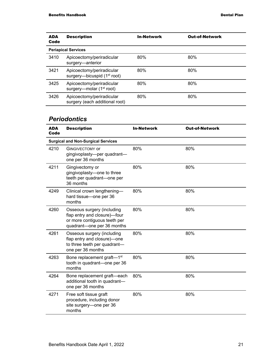| <b>ADA</b><br>Code | <b>Description</b>                                          | <b>In-Network</b> | <b>Out-of-Network</b> |
|--------------------|-------------------------------------------------------------|-------------------|-----------------------|
|                    | <b>Periapical Services</b>                                  |                   |                       |
| 3410               | Apicoectomy/periradicular<br>surgery-anterior               | 80%               | 80%                   |
| 3421               | Apicoectomy/periradicular<br>surgery—bicuspid $(1st root)$  | 80%               | 80%                   |
| 3425               | Apicoectomy/periradicular<br>surgery—molar $(1st root)$     | 80%               | 80%                   |
| 3426               | Apicoectomy/periradicular<br>surgery (each additional root) | 80%               | 80%                   |

#### *Periodontics*

| <b>ADA</b><br>Code | <b>Description</b>                                                                                                       | <b>In-Network</b> | <b>Out-of-Network</b> |
|--------------------|--------------------------------------------------------------------------------------------------------------------------|-------------------|-----------------------|
|                    | <b>Surgical and Non-Surgical Services</b>                                                                                |                   |                       |
| 4210               | <b>GINGIVECTOMY OF</b><br>gingivoplasty-per quadrant-<br>one per 36 months                                               | 80%               | 80%                   |
| 4211               | Gingivectomy or<br>gingivoplasty-one to three<br>teeth per quadrant-one per<br>36 months                                 | 80%               | 80%                   |
| 4249               | Clinical crown lengthening-<br>hard tissue-one per 36<br>months                                                          | 80%               | 80%                   |
| 4260               | Osseous surgery (including<br>flap entry and closure)-four<br>or more contiguous teeth per<br>quadrant-one per 36 months | 80%               | 80%                   |
| 4261               | Osseous surgery (including<br>flap entry and closure)-one<br>to three teeth per quadrant-<br>one per 36 months           | 80%               | 80%                   |
| 4263               | Bone replacement graft-1st<br>tooth in quadrant-one per 36<br>months                                                     | 80%               | 80%                   |
| 4264               | Bone replacement graft-each<br>additional tooth in quadrant-<br>one per 36 months                                        | 80%               | 80%                   |
| 4271               | Free soft tissue graft<br>procedure, including donor<br>site surgery-one per 36<br>months                                | 80%               | 80%                   |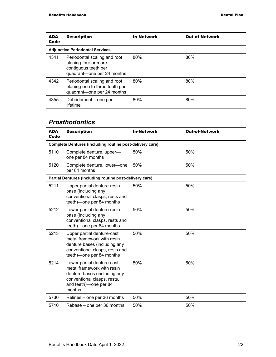| <b>ADA</b><br>Code | <b>Description</b>                                                                                         | <b>In-Network</b> | <b>Out-of-Network</b> |
|--------------------|------------------------------------------------------------------------------------------------------------|-------------------|-----------------------|
|                    | <b>Adjunctive Periodontal Services</b>                                                                     |                   |                       |
| 4341               | Periodontal scaling and root<br>planing-four or more<br>contiguous teeth per<br>quadrant-one per 24 months | 80%               | 80%                   |
| 4342               | Periodontal scaling and root<br>planing-one to three teeth per<br>quadrant-one per 24 months               | 80%               | 80%                   |
| 4355               | Debridement – one per<br>lifetime                                                                          | 80%               | 80%                   |

# *Prosthodontics*

| <b>ADA</b><br>Code | <b>Description</b>                                                                                                                                         | <b>In-Network</b> | <b>Out-of-Network</b> |  |
|--------------------|------------------------------------------------------------------------------------------------------------------------------------------------------------|-------------------|-----------------------|--|
|                    | <b>Complete Dentures (including routine post-delivery care)</b>                                                                                            |                   |                       |  |
| 5110               | Complete denture, upper-<br>one per 84 months                                                                                                              | 50%               | 50%                   |  |
| 5120               | Complete denture, lower-one<br>per 84 months                                                                                                               | 50%               | 50%                   |  |
|                    | Partial Dentures (including routine post-delivery care)                                                                                                    |                   |                       |  |
| 5211               | Upper partial denture-resin<br>base (including any<br>conventional clasps, rests and<br>teeth) one per 84 months                                           | 50%               | 50%                   |  |
| 5212               | Lower partial denture-resin<br>base (including any<br>conventional clasps, rests and<br>teeth)-one per 84 months                                           | 50%               | 50%                   |  |
| 5213               | Upper partial denture-cast<br>metal framework with resin<br>denture bases (including any<br>conventional clasps, rests and<br>teeth) one per 84 months     | 50%               | 50%                   |  |
| 5214               | Lower partial denture-cast<br>metal framework with resin<br>denture bases (including any<br>conventional clasps, rests,<br>and teeth)-one per 84<br>months | 50%               | 50%                   |  |
| 5730               | Relines – one per 36 months                                                                                                                                | 50%               | 50%                   |  |
| 5710               | Rebase - one per 36 months                                                                                                                                 | 50%               | 50%                   |  |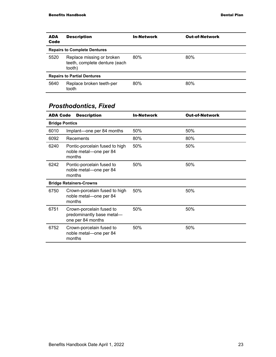| <b>ADA</b><br>Code                 | <b>Description</b>                                                   | <b>In-Network</b> | <b>Out-of-Network</b> |  |
|------------------------------------|----------------------------------------------------------------------|-------------------|-----------------------|--|
|                                    | <b>Repairs to Complete Dentures</b>                                  |                   |                       |  |
| 5520                               | Replace missing or broken<br>teeth, complete denture (each<br>tooth) | 80%               | 80%                   |  |
| <b>Repairs to Partial Dentures</b> |                                                                      |                   |                       |  |
| 5640                               | Replace broken teeth-per<br>tooth                                    | 80%               | 80%                   |  |

# *Prosthodontics, Fixed*

| <b>ADA Code</b>       | <b>Description</b>                                                         | <b>In-Network</b> | <b>Out-of-Network</b> |
|-----------------------|----------------------------------------------------------------------------|-------------------|-----------------------|
| <b>Bridge Pontics</b> |                                                                            |                   |                       |
| 6010                  | Implant—one per 84 months                                                  | 50%               | 50%                   |
| 6092                  | Recements                                                                  | 80%               | 80%                   |
| 6240                  | Pontic-porcelain fused to high<br>noble metal-one per 84<br>months         | 50%               | 50%                   |
| 6242                  | Pontic-porcelain fused to<br>noble metal-one per 84<br>months              | 50%               | 50%                   |
|                       | <b>Bridge Retainers-Crowns</b>                                             |                   |                       |
| 6750                  | Crown-porcelain fused to high<br>noble metal-one per 84<br>months          | 50%               | 50%                   |
| 6751                  | Crown-porcelain fused to<br>predominantly base metal-<br>one per 84 months | 50%               | 50%                   |
| 6752                  | Crown-porcelain fused to<br>noble metal-one per 84<br>months               | 50%               | 50%                   |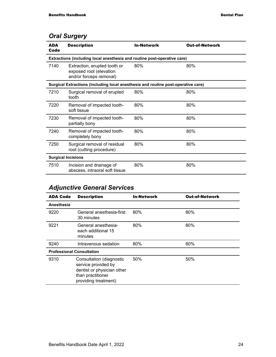# *Oral Surgery*

| <b>ADA</b><br>Code | <b>Description</b>                                                                 | <b>In-Network</b> | <b>Out-of-Network</b> |  |  |
|--------------------|------------------------------------------------------------------------------------|-------------------|-----------------------|--|--|
|                    | Extractions (including local anesthesia and routine post-operative care)           |                   |                       |  |  |
| 7140               | Extraction, erupted tooth or<br>exposed root (elevation<br>and/or forceps removal) | 80%               | 80%                   |  |  |
|                    | Surgical Extractions (including local anesthesia and routine post-operative care)  |                   |                       |  |  |
| 7210               | Surgical removal of erupted<br>tooth                                               | 80%               | 80%                   |  |  |
| 7220               | Removal of impacted tooth-<br>soft tissue                                          | 80%               | 80%                   |  |  |
| 7230               | Removal of impacted tooth-<br>partially bony                                       | 80%               | 80%                   |  |  |
| 7240               | Removal of impacted tooth-<br>completely bony                                      | 80%               | 80%                   |  |  |
| 7250               | Surgical removal of residual<br>root (cutting procedure)                           | 80%               | 80%                   |  |  |
|                    | <b>Surgical Incisions</b>                                                          |                   |                       |  |  |
| 7510               | Incision and drainage of<br>abscess, intraoral soft tissue                         | 80%               | 80%                   |  |  |

# *Adjunctive General Services*

| <b>ADA Code</b> | <b>Description</b>                                                                                                         | <b>In-Network</b> | <b>Out-of-Network</b> |
|-----------------|----------------------------------------------------------------------------------------------------------------------------|-------------------|-----------------------|
| Anesthesia      |                                                                                                                            |                   |                       |
| 9220            | General anesthesia-first<br>30 minutes                                                                                     | 80%               | 80%                   |
| 9221            | General anesthesia-<br>each additional 15<br>minutes                                                                       | 80%               | 80%                   |
| 9240            | Intravenous sedation                                                                                                       | 80%               | 80%                   |
|                 | <b>Professional Consultation</b>                                                                                           |                   |                       |
| 9310            | Consultation (diagnostic<br>service provided by<br>dentist or physician other<br>than practitioner<br>providing treatment) | 50%               | 50%                   |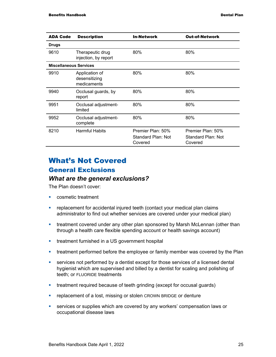| <b>ADA Code</b>               | <b>Description</b>                             | <b>In-Network</b>                                  | <b>Out-of-Network</b>                              |
|-------------------------------|------------------------------------------------|----------------------------------------------------|----------------------------------------------------|
| <b>Drugs</b>                  |                                                |                                                    |                                                    |
| 9610                          | Therapeutic drug<br>injection, by report       | 80%                                                | 80%                                                |
| <b>Miscellaneous Services</b> |                                                |                                                    |                                                    |
| 9910                          | Application of<br>desensitizing<br>medicaments | 80%                                                | 80%                                                |
| 9940                          | Occlusal guards, by<br>report                  | 80%                                                | 80%                                                |
| 9951                          | Occlusal adjustment-<br>limited                | 80%                                                | 80%                                                |
| 9952                          | Occlusal adjustment-<br>complete               | 80%                                                | 80%                                                |
| 8210                          | <b>Harmful Habits</b>                          | Premier Plan: 50%<br>Standard Plan: Not<br>Covered | Premier Plan: 50%<br>Standard Plan: Not<br>Covered |

# What's Not Covered General Exclusions

#### *What are the general exclusions?*

The Plan doesn't cover:

- **Cosmetic treatment**
- **•** replacement for accidental injured teeth (contact your medical plan claims administrator to find out whether services are covered under your medical plan)
- **treatment covered under any other plan sponsored by Marsh McLennan (other than** through a health care flexible spending account or health savings account)
- **treatment furnished in a US government hospital**
- **•** treatment performed before the employee or family member was covered by the Plan
- services not performed by a dentist except for those services of a licensed dental hygienist which are supervised and billed by a dentist for scaling and polishing of teeth; or FLUORIDE treatments
- treatment required because of teeth grinding (except for occusal guards)
- **F** replacement of a lost, missing or stolen CROWN BRIDGE or denture
- **services or supplies which are covered by any workers' compensation laws or** occupational disease laws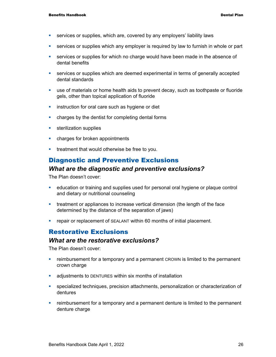- services or supplies, which are, covered by any employers' liability laws
- services or supplies which any employer is required by law to furnish in whole or part
- services or supplies for which no charge would have been made in the absence of dental benefits
- services or supplies which are deemed experimental in terms of generally accepted dental standards
- use of materials or home health aids to prevent decay, such as toothpaste or fluoride gels, other than topical application of fluoride
- **EXTERN** instruction for oral care such as hygiene or diet
- charges by the dentist for completing dental forms
- **sterilization supplies**
- **•** charges for broken appointments
- **treatment that would otherwise be free to you.**

#### Diagnostic and Preventive Exclusions

#### *What are the diagnostic and preventive exclusions?*

The Plan doesn't cover:

- education or training and supplies used for personal oral hygiene or plaque control and dietary or nutritional counseling
- treatment or appliances to increase vertical dimension (the length of the face determined by the distance of the separation of jaws)
- **•** repair or replacement of SEALANT within 60 months of initial placement.

#### Restorative Exclusions

#### *What are the restorative exclusions?*

The Plan doesn't cover:

- reimbursement for a temporary and a permanent CROWN is limited to the permanent crown charge
- adjustments to DENTURES within six months of installation
- specialized techniques, precision attachments, personalization or characterization of dentures
- reimbursement for a temporary and a permanent denture is limited to the permanent denture charge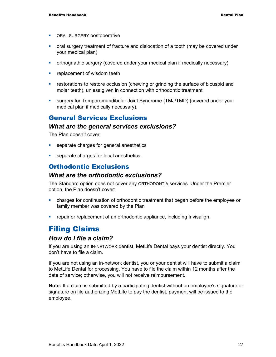- **ORAL SURGERY postoperative**
- oral surgery treatment of fracture and dislocation of a tooth (may be covered under your medical plan)
- orthognathic surgery (covered under your medical plan if medically necessary)
- **F** replacement of wisdom teeth
- **•** restorations to restore occlusion (chewing or grinding the surface of bicuspid and molar teeth), unless given in connection with orthodontic treatment
- surgery for Temporomandibular Joint Syndrome (TMJ/TMD) (covered under your medical plan if medically necessary).

#### General Services Exclusions

#### *What are the general services exclusions?*

The Plan doesn't cover:

- **separate charges for general anesthetics**
- **separate charges for local anesthetics.**

## Orthodontic Exclusions

#### *What are the orthodontic exclusions?*

The Standard option does not cover any ORTHODONTIA services. Under the Premier option, the Plan doesn't cover:

- charges for continuation of orthodontic treatment that began before the employee or family member was covered by the Plan
- **Fig. 2** repair or replacement of an orthodontic appliance, including Invisalign.

# Filing Claims

#### *How do I file a claim?*

If you are using an IN-NETWORK dentist, MetLife Dental pays your dentist directly. You don't have to file a claim.

If you are not using an in-network dentist, you or your dentist will have to submit a claim to MetLife Dental for processing. You have to file the claim within 12 months after the date of service; otherwise, you will not receive reimbursement.

**Note:** If a claim is submitted by a participating dentist without an employee's signature or signature on file authorizing MetLife to pay the dentist, payment will be issued to the employee.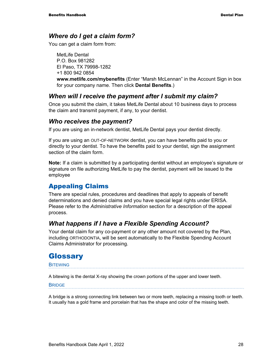#### *Where do I get a claim form?*

You can get a claim form from:

MetLife Dental P.O. Box 981282 El Paso, TX 79998-1282 +1 800 942 0854 **www.metlife.com/mybenefits** (Enter "Marsh McLennan" in the Account Sign in box for your company name. Then click **Dental Benefits**.)

#### *When will I receive the payment after I submit my claim?*

Once you submit the claim, it takes MetLife Dental about 10 business days to process the claim and transmit payment, if any, to your dentist.

#### *Who receives the payment?*

If you are using an in-network dentist, MetLife Dental pays your dentist directly.

If you are using an OUT-OF-NETWORK dentist, you can have benefits paid to you or directly to your dentist. To have the benefits paid to your dentist, sign the assignment section of the claim form.

**Note:** If a claim is submitted by a participating dentist without an employee's signature or signature on file authorizing MetLife to pay the dentist, payment will be issued to the employee

## Appealing Claims

There are special rules, procedures and deadlines that apply to appeals of benefit determinations and denied claims and you have special legal rights under ERISA. Please refer to the *Administrative Information* section for a description of the appeal process.

#### *What happens if I have a Flexible Spending Account?*

Your dental claim for any co-payment or any other amount not covered by the Plan, including ORTHODONTIA, will be sent automatically to the Flexible Spending Account Claims Administrator for processing.

# **Glossary**

#### **BITEWING**

A bitewing is the dental X-ray showing the crown portions of the upper and lower teeth.

**BRIDGE** 

A bridge is a strong connecting link between two or more teeth, replacing a missing tooth or teeth. It usually has a gold frame and porcelain that has the shape and color of the missing teeth.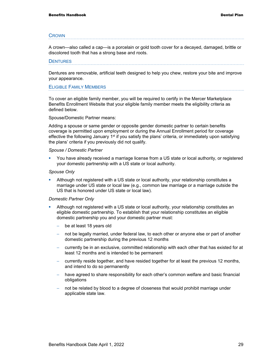#### **CROWN**

A crown—also called a cap—is a porcelain or gold tooth cover for a decayed, damaged, brittle or discolored tooth that has a strong base and roots.

#### **DENTURES**

Dentures are removable, artificial teeth designed to help you chew, restore your bite and improve your appearance.

#### ELIGIBLE FAMILY MEMBERS

To cover an eligible family member, you will be required to certify in the Mercer Marketplace Benefits Enrollment Website that your eligible family member meets the eligibility criteria as defined below.

#### Spouse/Domestic Partner means:

Adding a spouse or same gender or opposite gender domestic partner to certain benefits coverage is permitted upon employment or during the Annual Enrollment period for coverage effective the following January  $1<sup>st</sup>$  if you satisfy the plans' criteria, or immediately upon satisfying the plans' criteria if you previously did not qualify.

#### *Spouse / Domestic Partner*

 You have already received a marriage license from a US state or local authority, or registered your domestic partnership with a US state or local authority.

#### *Spouse Only*

 Although not registered with a US state or local authority, your relationship constitutes a marriage under US state or local law (e.g., common law marriage or a marriage outside the US that is honored under US state or local law).

#### *Domestic Partner Only*

- Although not registered with a US state or local authority, your relationship constitutes an eligible domestic partnership. To establish that your relationship constitutes an eligible domestic partnership you and your domestic partner must:
	- be at least 18 years old
	- not be legally married, under federal law, to each other or anyone else or part of another domestic partnership during the previous 12 months
	- − currently be in an exclusive, committed relationship with each other that has existed for at least 12 months and is intended to be permanent
	- − currently reside together, and have resided together for at least the previous 12 months, and intend to do so permanently
	- have agreed to share responsibility for each other's common welfare and basic financial obligations
	- not be related by blood to a degree of closeness that would prohibit marriage under applicable state law.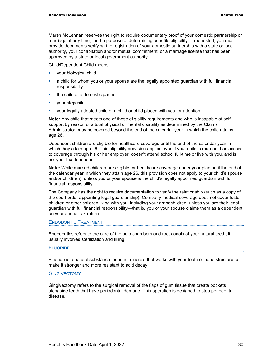Marsh McLennan reserves the right to require documentary proof of your domestic partnership or marriage at any time, for the purpose of determining benefits eligibility. If requested, you must provide documents verifying the registration of your domestic partnership with a state or local authority, your cohabitation and/or mutual commitment, or a marriage license that has been approved by a state or local government authority.

Child/Dependent Child means:

- **vour biological child**
- a child for whom you or your spouse are the legally appointed guardian with full financial responsibility
- the child of a domestic partner
- **vour stepchild**
- your legally adopted child or a child or child placed with you for adoption.

**Note:** Any child that meets one of these eligibility requirements and who is incapable of self support by reason of a total physical or mental disability as determined by the Claims Administrator, may be covered beyond the end of the calendar year in which the child attains age 26.

Dependent children are eligible for healthcare coverage until the end of the calendar year in which they attain age 26. This eligibility provision applies even if your child is married, has access to coverage through his or her employer, doesn't attend school full-time or live with you, and is not your tax dependent.

**Note:** While married children are eligible for healthcare coverage under your plan until the end of the calendar year in which they attain age 26, this provision does not apply to your child's spouse and/or child(ren), unless you or your spouse is the child's legally appointed guardian with full financial responsibility.

The Company has the right to require documentation to verify the relationship (such as a copy of the court order appointing legal guardianship). Company medical coverage does not cover foster children or other children living with you, including your grandchildren, unless you are their legal guardian with full financial responsibility—that is, you or your spouse claims them as a dependent on your annual tax return.

#### ENDODONTIC TREATMENT

Endodontics refers to the care of the pulp chambers and root canals of your natural teeth; it usually involves sterilization and filling.

#### **FLUORIDE**

Fluoride is a natural substance found in minerals that works with your tooth or bone structure to make it stronger and more resistant to acid decay.

#### **GINGIVECTOMY**

Gingivectomy refers to the surgical removal of the flaps of gum tissue that create pockets alongside teeth that have periodontal damage. This operation is designed to stop periodontal disease.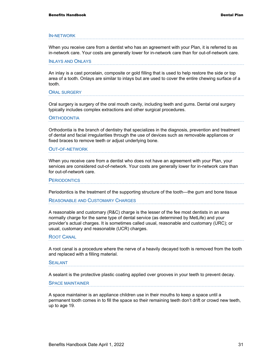#### IN-NETWORK

When you receive care from a dentist who has an agreement with your Plan, it is referred to as in-network care. Your costs are generally lower for in-network care than for out-of-network care.

#### INLAYS AND ONLAYS

An inlay is a cast porcelain, composite or gold filling that is used to help restore the side or top area of a tooth. Onlays are similar to inlays but are used to cover the entire chewing surface of a tooth.

ORAL SURGERY

Oral surgery is surgery of the oral mouth cavity, including teeth and gums. Dental oral surgery typically includes complex extractions and other surgical procedures.

**ORTHODONTIA** 

Orthodontia is the branch of dentistry that specializes in the diagnosis, prevention and treatment of dental and facial irregularities through the use of devices such as removable appliances or fixed braces to remove teeth or adjust underlying bone.

#### OUT-OF-NETWORK

When you receive care from a dentist who does not have an agreement with your Plan, your services are considered out-of-network. Your costs are generally lower for in-network care than for out-of-network care.

**PERIODONTICS** 

Periodontics is the treatment of the supporting structure of the tooth—the gum and bone tissue

REASONABLE AND CUSTOMARY CHARGES

A reasonable and customary (R&C) charge is the lesser of the fee most dentists in an area normally charge for the same type of dental service (as determined by MetLife) and your provider's actual charges. It is sometimes called usual, reasonable and customary (URC); or usual, customary and reasonable (UCR) charges.

#### ROOT CANAL

A root canal is a procedure where the nerve of a heavily decayed tooth is removed from the tooth and replaced with a filling material.

#### SEALANT

A sealant is the protective plastic coating applied over grooves in your teeth to prevent decay.

SPACE MAINTAINER

A space maintainer is an appliance children use in their mouths to keep a space until a permanent tooth comes in to fill the space so their remaining teeth don't drift or crowd new teeth, up to age 19.